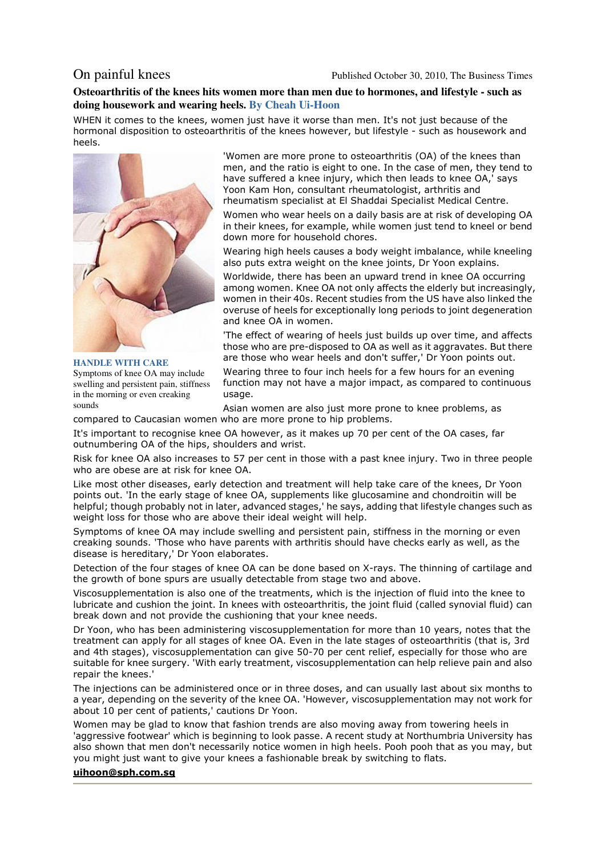On painful knees Published October 30, 2010, The Business Times

## **Osteoarthritis of the knees hits women more than men due to hormones, and lifestyle - such as doing housework and wearing heels. By Cheah Ui-Hoon**

WHEN it comes to the knees, women just have it worse than men. It's not just because of the hormonal disposition to osteoarthritis of the knees however, but lifestyle - such as housework and heels.



**HANDLE WITH CARE** Symptoms of knee OA may include swelling and persistent pain, stiffness in the morning or even creaking sounds

'Women are more prone to osteoarthritis (OA) of the knees than men, and the ratio is eight to one. In the case of men, they tend to have suffered a knee injury, which then leads to knee OA,' says Yoon Kam Hon, consultant rheumatologist, arthritis and rheumatism specialist at El Shaddai Specialist Medical Centre.

Women who wear heels on a daily basis are at risk of developing OA in their knees, for example, while women just tend to kneel or bend down more for household chores.

Wearing high heels causes a body weight imbalance, while kneeling also puts extra weight on the knee joints, Dr Yoon explains.

Worldwide, there has been an upward trend in knee OA occurring among women. Knee OA not only affects the elderly but increasingly, women in their 40s. Recent studies from the US have also linked the overuse of heels for exceptionally long periods to joint degeneration and knee OA in women.

'The effect of wearing of heels just builds up over time, and affects those who are pre-disposed to OA as well as it aggravates. But there are those who wear heels and don't suffer,' Dr Yoon points out.

Wearing three to four inch heels for a few hours for an evening function may not have a major impact, as compared to continuous usage.

Asian women are also just more prone to knee problems, as compared to Caucasian women who are more prone to hip problems.

It's important to recognise knee OA however, as it makes up 70 per cent of the OA cases, far outnumbering OA of the hips, shoulders and wrist.

Risk for knee OA also increases to 57 per cent in those with a past knee injury. Two in three people who are obese are at risk for knee OA.

Like most other diseases, early detection and treatment will help take care of the knees, Dr Yoon points out. 'In the early stage of knee OA, supplements like glucosamine and chondroitin will be helpful; though probably not in later, advanced stages,' he says, adding that lifestyle changes such as weight loss for those who are above their ideal weight will help.

Symptoms of knee OA may include swelling and persistent pain, stiffness in the morning or even creaking sounds. 'Those who have parents with arthritis should have checks early as well, as the disease is hereditary,' Dr Yoon elaborates.

Detection of the four stages of knee OA can be done based on X-rays. The thinning of cartilage and the growth of bone spurs are usually detectable from stage two and above.

Viscosupplementation is also one of the treatments, which is the injection of fluid into the knee to lubricate and cushion the joint. In knees with osteoarthritis, the joint fluid (called synovial fluid) can break down and not provide the cushioning that your knee needs.

Dr Yoon, who has been administering viscosupplementation for more than 10 years, notes that the treatment can apply for all stages of knee OA. Even in the late stages of osteoarthritis (that is, 3rd and 4th stages), viscosupplementation can give 50-70 per cent relief, especially for those who are suitable for knee surgery. 'With early treatment, viscosupplementation can help relieve pain and also repair the knees.'

The injections can be administered once or in three doses, and can usually last about six months to a year, depending on the severity of the knee OA. 'However, viscosupplementation may not work for about 10 per cent of patients,' cautions Dr Yoon.

Women may be glad to know that fashion trends are also moving away from towering heels in 'aggressive footwear' which is beginning to look passe. A recent study at Northumbria University has also shown that men don't necessarily notice women in high heels. Pooh pooh that as you may, but you might just want to give your knees a fashionable break by switching to flats.

### **uihoon@sph.com.sg**